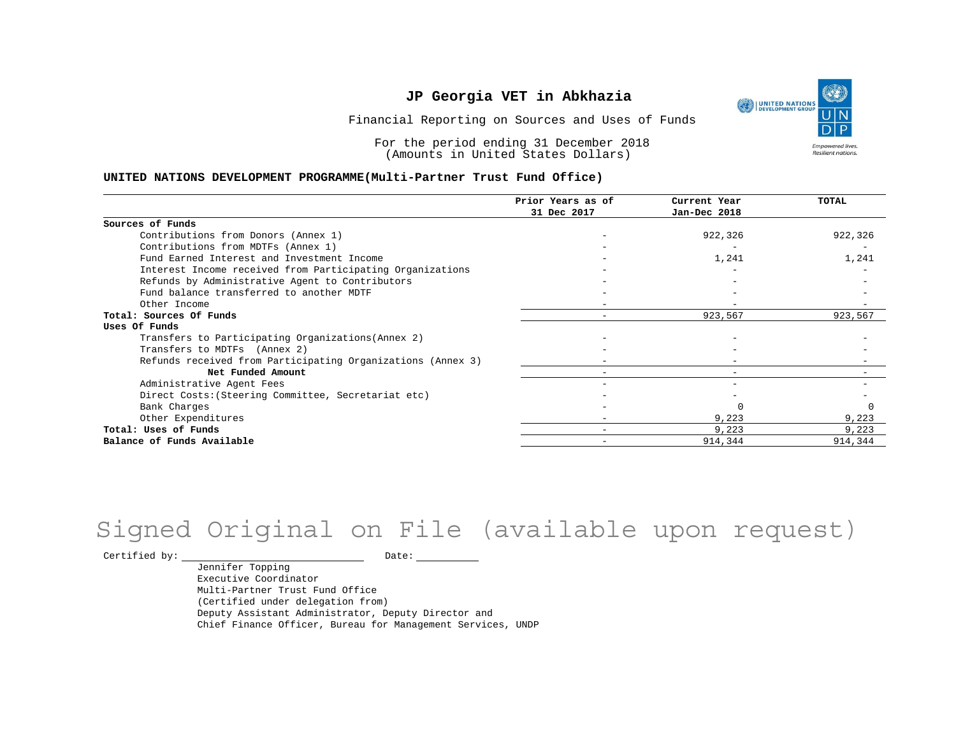UNITED NATIONS **Empowered lives** Resilient nations.

Financial Reporting on Sources and Uses of Funds

For the period ending 31 December 2018 (Amounts in United States Dollars)

#### **UNITED NATIONS DEVELOPMENT PROGRAMME(Multi-Partner Trust Fund Office)**

|                                                             | Prior Years as of<br>31 Dec 2017 | Current Year<br>Jan-Dec 2018 | TOTAL   |
|-------------------------------------------------------------|----------------------------------|------------------------------|---------|
|                                                             |                                  |                              |         |
| Sources of Funds                                            |                                  |                              |         |
| Contributions from Donors (Annex 1)                         |                                  | 922,326                      | 922,326 |
| Contributions from MDTFs (Annex 1)                          |                                  |                              |         |
| Fund Earned Interest and Investment Income                  |                                  | 1,241                        | 1,241   |
| Interest Income received from Participating Organizations   |                                  |                              |         |
| Refunds by Administrative Agent to Contributors             |                                  |                              |         |
| Fund balance transferred to another MDTF                    |                                  |                              |         |
| Other Income                                                |                                  |                              |         |
| Total: Sources Of Funds                                     |                                  | 923,567                      | 923,567 |
| Uses Of Funds                                               |                                  |                              |         |
| Transfers to Participating Organizations (Annex 2)          |                                  |                              |         |
| Transfers to MDTFs (Annex 2)                                |                                  |                              |         |
| Refunds received from Participating Organizations (Annex 3) |                                  |                              |         |
| Net Funded Amount                                           |                                  | $\overline{\phantom{0}}$     |         |
| Administrative Agent Fees                                   |                                  |                              |         |
| Direct Costs: (Steering Committee, Secretariat etc)         |                                  |                              |         |
| Bank Charges                                                |                                  |                              |         |
| Other Expenditures                                          |                                  | 9,223                        | 9,223   |
| Total: Uses of Funds                                        |                                  | 9,223                        | 9,223   |
| Balance of Funds Available                                  |                                  | 914,344                      | 914,344 |

## Signed Original on File (available upon request)

 $\begin{tabular}{cc} \multicolumn{2}{c}{{\texttt{Certified by:}}}} \quad \quad \texttt{Date:} \end{tabular}$ 

Jennifer Topping Executive Coordinator Multi-Partner Trust Fund Office (Certified under delegation from) Deputy Assistant Administrator, Deputy Director and Chief Finance Officer, Bureau for Management Services, UNDP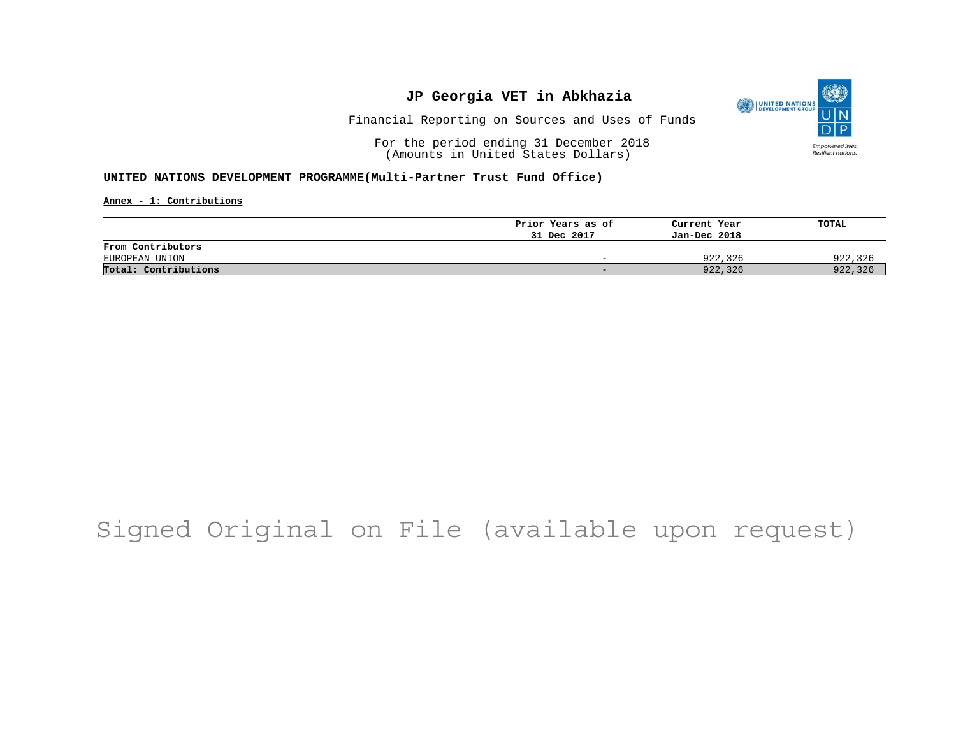

Financial Reporting on Sources and Uses of Funds

For the period ending 31 December 2018 (Amounts in United States Dollars)

#### **UNITED NATIONS DEVELOPMENT PROGRAMME(Multi-Partner Trust Fund Office)**

**Annex - 1: Contributions**

|                      | Prior Years as of        | Current Year | TOTAL   |
|----------------------|--------------------------|--------------|---------|
|                      | 31 Dec 2017              | Jan-Dec 2018 |         |
| From Contributors    |                          |              |         |
| EUROPEAN UNION       | $\overline{\phantom{0}}$ | 922,326      | 922,326 |
| Total: Contributions | -                        | 922,326      | 922,326 |

## Signed Original on File (available upon request)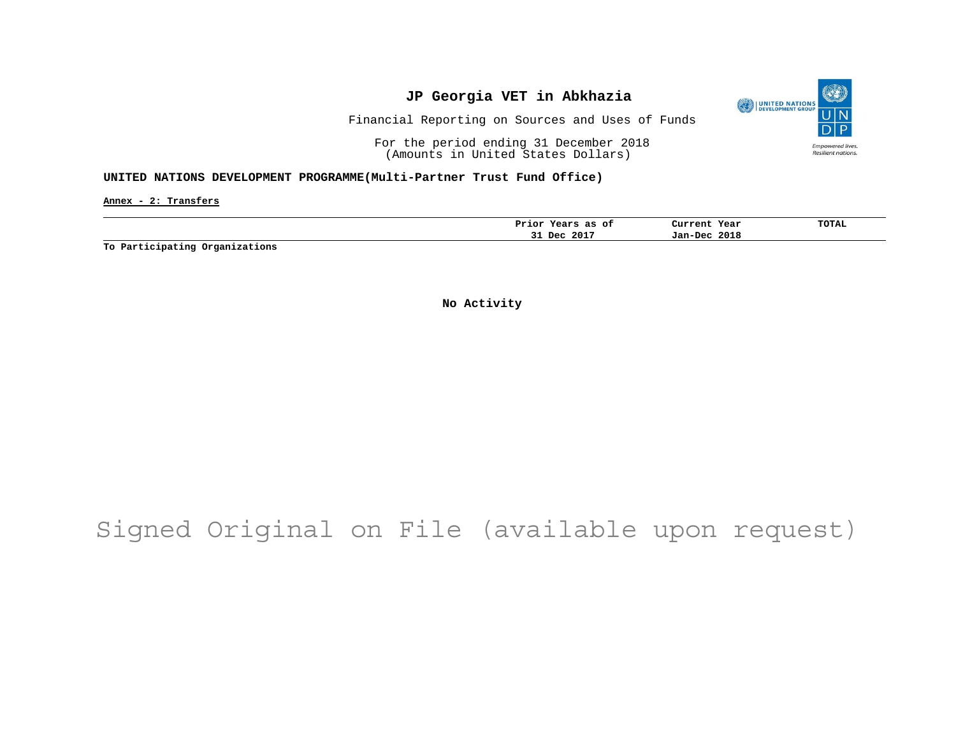

Financial Reporting on Sources and Uses of Funds

For the period ending 31 December 2018 (Amounts in United States Dollars)

#### **UNITED NATIONS DEVELOPMENT PROGRAMME(Multi-Partner Trust Fund Office)**

**Annex - 2: Transfers**

| оt<br>as<br>rior.<br>$-0.0$<br>ears | Current<br>Year | TOTAL |
|-------------------------------------|-----------------|-------|
| 201'<br>Dec.<br>۔۔                  | 2018<br>Jan-Dec |       |

**To Participating Organizations**

**No Activity**

# Signed Original on File (available upon request)